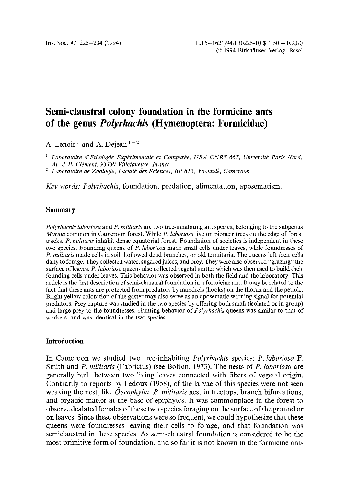# **Semi-claustral colony foundation in the formicine ants of the genus** *Polyrhachis* **(Hymenoptera: Formicidae)**

A. Lenoir<sup>1</sup> and A. Dejean<sup>1-2</sup>

<sup>1</sup> Laboratoire d'Ethologie Expérimentale et Comparée, URA CNRS 667, Université Paris Nord, Av. J.B. Clément, 93430 Villetaneuse, France

<sup>2</sup> Laboratoire de Zoologie, Faculté des Sciences, BP 812, Yaoundé, Cameroon

*Key words: Polyrhachis,* foundation, predation, alimentation, aposematism.

## **Summary**

*Polyrhachis laboriosa* and *P. militaris* are two tree-inhabiting ant species, belonging to the subgenus *Myrma* common in Cameroon forest. While *P. laboriosa* live on pioneer trees on the edge of forest tracks, *P. militaris* inhabit dense equatorial forest. Foundation of societies is independent in these two species. Founding queens of *P. laboriosa* made small cells under leaves, while foundresses of *P. militaris* made cells in soil, hollowed dead branches, or old termitaria. The queens left their cells daily to forage. They collected water, sugared juices, and prey. They were also observed "grazing" the surface of leaves. *P. laboriosa* queens also collected vegetal matter which was then used to build their founding cells under leaves. This behavior was observed in both the field and the laboratory. This article is the first description of semi-claustral foundation in a formicine ant. It may be related to the fact that these ants are protected from predators by mandrels (hooks) on the thorax and the petiole. Bright yellow coloration of the gaster may also serve as an aposematic warning signal for potential predators. Prey capture was studied in the two species by offering both small (isolated or in group) and large prey to the foundresses. Hunting behavior of *Polyrhachis* queens was similar to that of workers, and was identical in the two species.

## **Introduction**

In Cameroon we studied two tree-inhabiting *Polyrhachis* species: *P. laboriosa F.*  Smith and *P. militaris* (Fabricius) (see Bolton, 1973). The nests of *P. laboriosa* are generally built between two living leaves connected with fibers of vegetal origin. Contrarily to reports by Ledoux (1958), of the larvae of this species were not seen weaving the nest, like *Oecophylla. P. militaris* nest in treetops, branch bifurcations, and organic matter at the base of epiphytes. It was commonplace in the forest to observe dealated females of these two species foraging on the surface of the ground or on leaves. Since these observations were so frequent, we could hypothesize that these queens were foundresses leaving their cells to forage, and that foundation was semiclaustral in these species. As semi-claustral foundation is considered to be the most primitive form of foundation, and so far it is not known in the formicine ants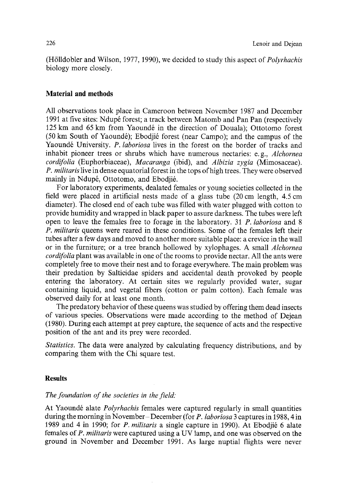(H611dobler and Wilson, 1977, 1990), we decided to study this aspect of *Polyrhachis*  biology more closely.

## **Material and methods**

All observations took place in Cameroon between November 1987 and December 1991 at five sites: Ndupé forest; a track between Matomb and Pan Pan (respectively 125 km and 65 km from Yaoundé in the direction of Douala); Ottotomo forest (50 km South of Yaoundé); Ebodjié forest (near Campo); and the campus of the Yaoundé University. *P. laboriosa* lives in the forest on the border of tracks and inhabit pioneer trees or shrubs which have numerous nectaries: e.g., *Alchornea cordifolia* (Euphorbiaceae), *Macaranga* (ibid), and *Albizia zygia* (Mimosaceae). *P. militaris* live in dense equatorial forest in the tops of high trees. They were observed mainly in Ndupé, Ottotomo, and Ebodiié.

For laboratory experiments, dealated females or young societies collected in the field were placed in artificial nests made of a glass tube (20 cm length, 4.5 cm diameter). The closed end of each tube was filled with water plugged with cotton to provide humidity and wrapped in black paper to assure darkness. The tubes were left open to leave the females free to forage in the laboratory. 31 *P. laboriosa* and 8 *P. militaris* queens were reared in these conditions. Some of the females left their tubes after a few days and moved to another more suitable place: a crevice in the wall or in the furniture; or a tree branch hollowed by xylophages. A small *Alchornea cordifolia* plant was available in one of the rooms to provide nectar. All the ants were completely free to move their nest and to forage everywhere. The main problem was their predation by Salticidae spiders and accidental death provoked by people entering the laboratory. At certain sites we regularly provided water, sugar containing liquid, and vegetal fibers (cotton or palm cotton). Each female was observed daily for at least one month.

The predatory behavior of these queens was studied by offering them dead insects of various species. Observations were made according to the method of Dejean (1980). During each attempt at prey capture, the sequence of acts and the respective position of the ant and its prey were recorded.

*Statistics.* The data were analyzed by calculating frequency distributions, and by comparing them with the Chi square test.

## **Results**

## *The foundation of the societies in the field:*

At Yaoundé alate *Polyrhachis* females were captured regularly in small quantities during the morning in November- December (for *P. laboriosa* 3 captures in 1988, 4 in 1989 and 4 in 1990; for *P. militaris* a single capture in 1990). At Ebodji6 6 alate females of *P. militaris* were captured using a UV lamp, and one was observed on the ground in November and December 1991. As large nuptial flights were never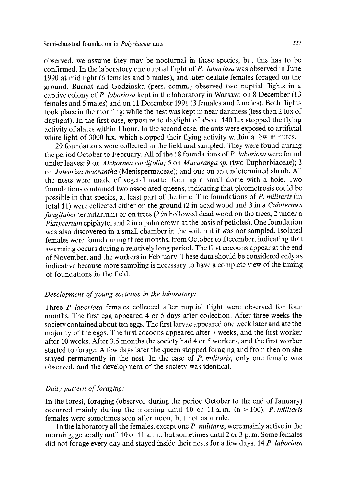observed, we assume they may be nocturnal in these species, but this has to be confirmed. In the laboratory one nuptial flight of *P. laboriosa* was observed in June 1990 at midnight (6 females and 5 males), and later dealate females foraged on the ground. Burnat and Godzinska (pers. comm.) observed two nuptial flights in a captive colony of *P. laboriosa* kept in the laboratory in Warsaw: on 8 December (13 females and 5 males) and on 11 December 1991 (3 females and 2 males). Both flights took place in the morning; while the nest was kept in near darkness (less than 2 lux of daylight). In the first case, exposure to daylight of about 140 lux stopped the flying activity of alates within 1 hour. In the second case, the ants were exposed to artificial white light of 3000 lux, which stopped their flying activity within a few minutes.

29 foundations were collected in the field and sampled. They were found during the period October to February. All of the 18 foundations of *P. laboriosa* were found under leaves: 9 on *Alchornea cordifolia;* 5 on *Macaranga sp.* (two Euphorbiaceae); 3 on *Jateoriza macrantha* (Menispermaceae); and one on an undetermined shrub. All the nests were made of vegetal matter forming a small dome with a hole. Two foundations contained two associated queens, indicating that pleometrosis could be possible in that species, at least part of the time. The foundations of *P. militaris* (in total 11) were collected either on the ground (2 in dead wood and 3 in a *Cubitermes fungifaber* termitarium) or on trees (2 in hollowed dead wood on the trees, 2 under a *Platycerium* epiphyte, and 2 in a palm crown at the basis of petioles). One foundation was also discovered in a small chamber in the soil, but it was not sampled. Isolated females were found during three months, from October to December, indicating that swarming occurs during a relatively long period. The first cocoons appear at the end of November, and the workers in February. These data should be considered only as indicative because more sampling is necessary to have a complete view of the timing of foundations in the field.

### *Development of young societies in the laboratory:*

Three *P. laboriosa* females collected after nuptial flight were observed for four months. The first egg appeared 4 or 5 days after collection. After three weeks the society contained about ten eggs. The first larvae appeared one week later and ate the majority of the eggs. The first cocoons appeared after 7 weeks, and the first worker after 10 weeks. After 3.5 months the society had 4 or 5 workers, and the first worker started to forage. A few days later the queen stopped foraging and from then on she stayed permanently in the nest. In the case of *P. militaris,* only one female was observed, and the development of the society was identical.

## *Daily pattern of foraging:*

In the forest, foraging (observed during the period October to the end of January) occurred mainly during the morning until 10 or 11 a.m.  $(n > 100)$ . *P. militaris* females were sometimes seen after noon, but not as a rule.

In the laboratory all the females, except one *P. militaris,* were mainly active in the morning, generally until 10 or 11 a.m., but sometimes until 2 or 3 p.m. Some females did not forage every day and stayed inside their nests for a few days. 14 *P. laboriosa*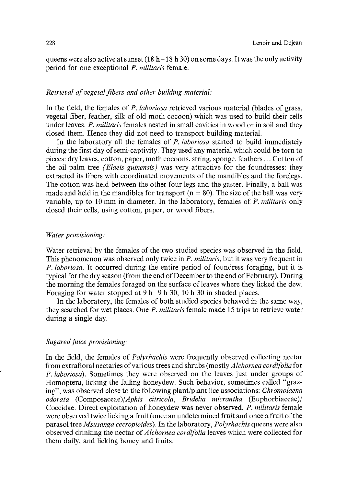queens were also active at sunset (18 h – 18 h 30) on some days. It was the only activity period for one exceptional *P. militaris* female.

### *Retrieval of vegetal fibers and other building material:*

In the field, the females of *P. laboriosa* retrieved various material (blades of grass, vegetal fiber, feather, silk of old moth cocoon) which was used to build their cells under leaves. *P. militaris* females nested in small cavities in wood or in soil and they closed them. Hence they did not need to transport building material.

In the laboratory all the females of *P. laboriosa* started to build immediately during the first day of semi-captivity. They used any material which could be torn to pieces: dry leaves, cotton, paper, moth cocoons, string, sponge, feathers... Cotton of the oil palm tree *(Elaeis guinensis)* was very attractive for the foundresses: they extracted its fibers with coordinated movements of the mandibles and the forelegs. The cotton was held between the other four legs and the gaster. Finally, a ball was made and held in the mandibles for transport ( $n = 80$ ). The size of the ball was very variable, up to 10 mm in diameter. In the laboratory, females of *P. miIitaris* only closed their cells, using cotton, paper, or wood fibers.

#### *Water provisioning:*

Water retrieval by the females of the two studied species was observed in the field. This phenomenon was observed only twice in *P. militaris,* but it was very frequent in *P. laboriosa.* It occurred during the entire period of foundress foraging, but it is typical for the dry season (from the end of December to the end of February). During the morning the females foraged on the surface of leaves where they licked the dew. Foraging for water stopped at  $9 h-9 h 30$ , 10 h 30 in shaded places.

In the laboratory, the females of both studied species behaved in the same way, they searched for wet places. One *P. militaris* female made 15 trips to retrieve water during a single day.

#### *Sugared juice provisioning:*

In the field, the females of *Polyrhachis* were frequently observed collecting nectar from extrafloral nectaries of various trees and shrubs (mostly *Alchornea eordifolia* for *P. laboriosa).* Sometimes they were observed on the leaves just under groups of Homoptera, licking the falling honeydew. Such behavior, sometimes called "grazing", was observed close to the following plant/plant lice associations: *Chromolaena odorata (Composaceae)/Aphis citrieola, Bridelia micrantha* (Euphorbiaceae)/ Coccidae. Direct exploitation of honeydew was never observed. *P. militaris* female were observed twice licking a fruit (once an undetermined fruit and once a fruit of the parasol tree *Msusanga cecropioides).* In the laboratory, *Polyrhachis* queens were also observed drinking the nectar of *Alchornea cordifolia* leaves which were collected for them daily, and licking honey and fruits.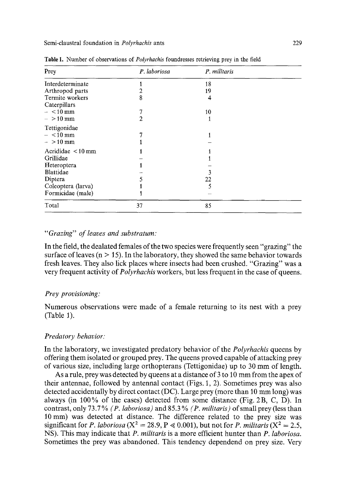| Prey                       | P. laboriosa | P. militaris |  |
|----------------------------|--------------|--------------|--|
| Interdeterminate           |              | 18           |  |
| Arthropod parts            | 2            | 19           |  |
| Termite workers            | 8            | 4            |  |
| Caterpillars<br>$-<$ 10 mm |              | 10           |  |
| $-$ >10 mm                 | 2            | 1            |  |
| Tettigonidae               |              |              |  |
| $- < 10$ mm                |              |              |  |
| $-$ >10 mm                 |              |              |  |
| Acrididae $\leq 10$ mm     |              |              |  |
| Grillidae                  |              |              |  |
| Heteroptera                |              |              |  |
| Blattidae                  |              |              |  |
| Diptera                    |              | 22           |  |
| Coleoptera (larva)         |              | 5            |  |
| Formicidae (male)          |              |              |  |
| Total                      | 37           | 85           |  |

Table 1. Number of observations of *Polyrhachis* foundresses retrieving prey in the field

#### *"Grazing" of leaves and substratum:*

In the field, the dealated females of the two species were frequently seen "grazing" the surface of leaves ( $n > 15$ ). In the laboratory, they showed the same behavior towards fresh leaves. They also lick places where insects had been crushed. "Grazing" was a very frequent activity of *Polyrhachis* workers, but less frequent in the case of queens.

#### *Prey provisioning:*

Numerous observations were made of a female returning to its nest with a prey (Table 1).

## *Predatory behavior."*

In the laboratory, we investigated predatory behavior of the *Polyrhachis* queens by offering them isolated or grouped prey. The queens proved capable of attacking prey of various size, including large orthopterans (Tettigonidae) up to 30 mm of length.

As a rule, prey was detected by queens at a distance of 3 to 10 mm from the apex of their antennae, followed by antennal contact (Figs. 1, 2). Sometimes prey was also detected accidentally by direct contact (DC). Large prey (more than 10 mm long) was always (in 100% of the cases) detected from some distance (Fig. 2B, C, D). In contrast, only 73.7 % *(P. laboriosa)* and 85.3 % *(P. miIitaris)* of small prey (less than 10 mm) was detected at distance. The difference related to the prev size was significant for *P. laboriosa* ( $X^2 = 28.9$ ,  $P \ll 0.001$ ), but not for *P. militaris* ( $X^2 = 2.5$ , NS). This may indicate that *P. militaris* is a more efficient hunter than *P. laboriosa.*  Sometimes the prey was abandoned. This tendency dependend on prey size. Very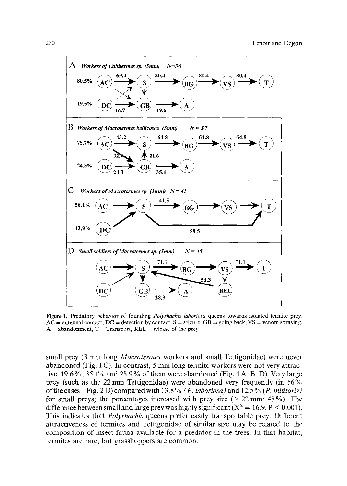

**Figure** 1. Predatory behavior of founding *Polyrhachis laboriosa* queens towards isolated termite prey.  $AC =$  antennal contact,  $DC =$  detection by contact,  $S =$  seizure,  $GB =$  going back,  $VS =$  venom spraying,  $A =$  abandonment,  $T =$  Transport,  $REL =$  release of the prey

small prey (3 mm long *Macrotermes* workers and small Tettigonidae) were never abandoned (Fig. 1 C). In contrast, 5 mm long termite workers were not very attractive: 19.6%, 35.1% and 28.9 % of them were abandoned (Fig. 1 A, B, D). Very large prey (such as the 22 mm Tettigonidae) were abandoned very frequently (in 56% of the cases- Fig. 2 D) compared with 13.8 % *(P. laboriosa)* and 12.5 *% (P. militaris)*  for small preys; the percentages increased with prey size ( $> 22$  mm: 48%). The difference between small and large prey was highly significant ( $X^2 = 16.9$ ,  $P < 0.001$ ). This indicates that *Polyrhaehis* queens prefer easily transportable prey. Different attractiveness of termites and Tettigonidae of similar size may be related to the composition of insect fauna available for a predator in the trees. In that habitat, termites are rare, but grasshoppers are common.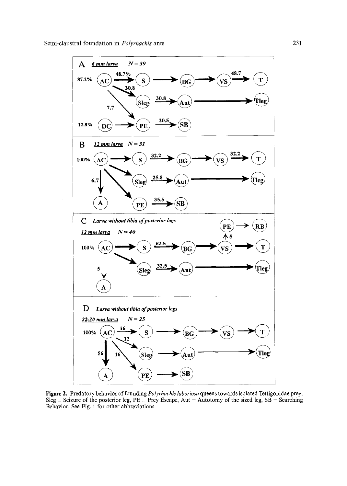

Figure 2. Predatory behavior of founding *Polyrhachis laboriosa* queens towards isolated Tettigonidae prey. Sleg = Seizure of the posterior leg,  $PE = Prey$  Escape, Aut = Autotomy of the sized leg,  $SB =$  Searching Behavior. See Fig. 1 for other abbreviations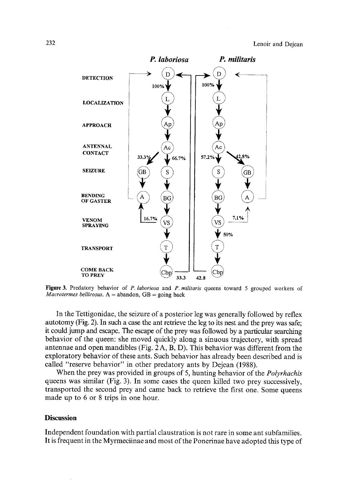

**Figure** 3. Predatory behavior of *P. laboriosa* and *P. militaris* queens toward 5 grouped workers of *Macrotermes bellicosus.* A = abandon, GB = going back

In the Tettigonidae, the seizure of a posterior leg was generally followed by reflex autotomy (Fig. 2). In such a case the ant retrieve the leg to its nest and the prey was safe; it could jump and escape. The escape of the prey was followed by a particular searching behavior of the queen: she moved quickly along a sinuous trajectory, with spread antennae and open mandibles (Fig. 2 A, B, D). This behavior was different from the exploratory behavior of these ants. Such behavior has already been described and is called "reserve behavior" in other predatory ants by Dejean (1988).

When the prey was provided in groups of 5, hunting behavior of the *Polyrhachis*  queens was similar (Fig. 3). In some cases the queen killed two prey successively, transported the second prey and came back to retrieve the first one. Some queens made up to 6 or 8 trips in one hour.

## **Discussion**

Independent foundation with partial claustration is not rare in some ant subfamilies. It is frequent in the Myrmeciinae and most of the Ponerinae have adopted this type of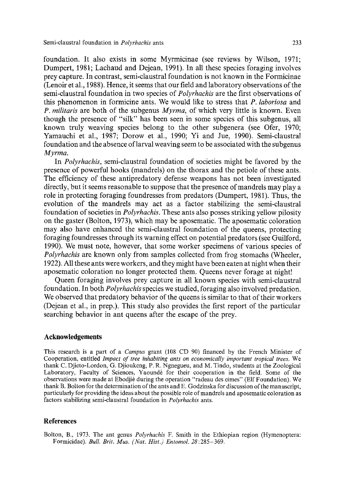foundation. It also exists in some Myrmicinae (see reviews by Wilson, 1971; Dumpert, 1981; Lachaud and Dejean, 1991). In all these species foraging involves prey capture. In contrast, semi-claustral foundation is not known in the Formicinae (Lenoir et al., 1988). Hence, it seems that our field and laboratory observations of the semi-claustral foundation in two species of *Polyrhachis* are the first observations of this phenomenon in formicine ants. We would like to stress that *P. laboriosa* and *P. militaris* are both of the subgenus *Myrma,* of which very little is known. Even though the presence of "silk" has been seen in some species of this subgenus, all known truly weaving species belong to the other subgenera (see Ofer, 1970; Yamauchi et al., 1987; Dorow et al., 1990; Yi and Jue, 1990). Semi-claustral foundation and the absence of larval weaving seem to be associated with the subgenus *Myrma.* 

In *Polyrhachis,* semi-claustral foundation of societies might be favored by the presence of powerful hooks (mandrels) on the thorax and the petiole of these ants. The efficiency of these antipredatory defense weapons has not been investigated directly, but it seems reasonable to suppose that the presence of mandrels may play a role in protecting foraging foundresses from predators (Dumpert, 1981). Thus, the evolution of the mandrels may act as a factor stabilizing the semi-claustral foundation of societies in *Polyrhachis.* These ants also posses striking yellow pilosity on the gaster (Bolton, 1973), which may be aposematic. The aposematic coloration may also have enhanced the semi-claustral foundation of the queens, protecting foraging foundresses through its warning effect on potential predators (see Guilford, 1990). We must note, however, that some worker specimens of various species of *Polyrhachis* are known only from samples collected from frog stomachs (Wheeler, 1922). All these ants were workers, and they might have been eaten at night when their aposematic coloration no longer protected them. Queens never forage at night!

Queen foraging involves prey capture in all known species with semi-claustral foundation. In both *Polyrhachis* species we studied, foraging also involved predation. We observed that predatory behavior of the queens is similar to that of their workers (Dejean et al., in prep.). This study also provides the first report of the particular searching behavior in ant queens after the escape of the prey.

#### **Acknowledgements**

This research is a part of a *Campus* grant (108 CD 90) financed by the French Minister of Cooperation, entitled *Impact of tree inhabiting ants on economically important tropical trees.* We thank C. Djieto-Lordon, G. Djioukeng, P. R. Ngnegueu, and M. Tindo, students at the Zoological Laboratory, Faculty of Sciences, Yaoundé for their cooperation in the field. Some of the observations were made at Ebodjié during the operation "radeau des cimes" (Elf Foundation). We thank B. Bolton for the determination of the ants and E. Godzinska for discussion of the manuscript, particularly for providing the ideas about the possible role of mandrels and aposematic coloration as factors stabilizing semi-claustral foundation in *Polyrhachis* ants.

#### **References**

Bolton, B., 1973. The ant genus *Polyrhachis* F. Smith in the Ethiopian region (Hymenoptera: Formicidae). *Bull. Brit. Mus. (Nat. Hist.) Entomol. 28:285-369.*